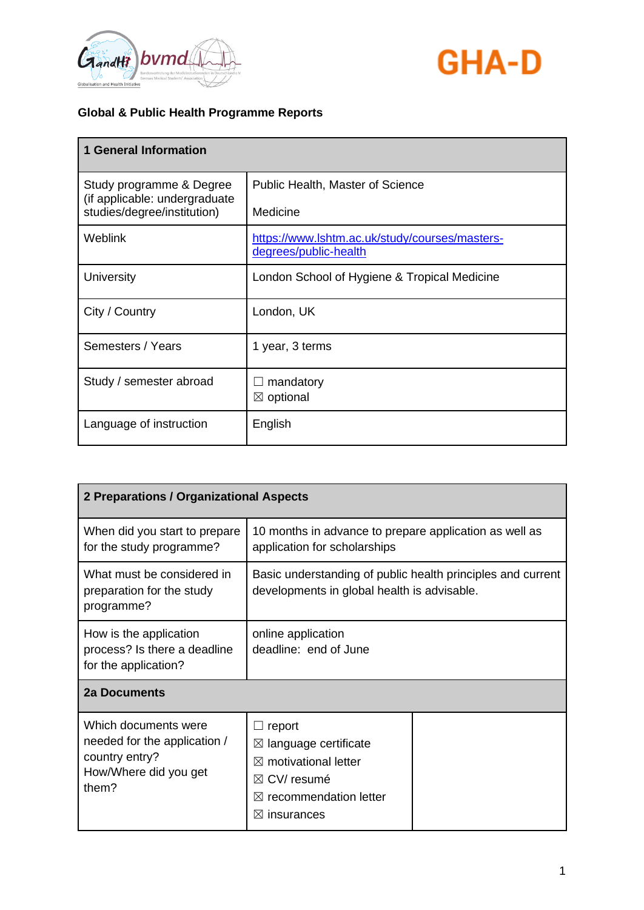



| <b>1 General Information</b>                              |                                                                         |
|-----------------------------------------------------------|-------------------------------------------------------------------------|
| Study programme & Degree<br>(if applicable: undergraduate | <b>Public Health, Master of Science</b>                                 |
| studies/degree/institution)                               | Medicine                                                                |
| <b>Weblink</b>                                            | https://www.lshtm.ac.uk/study/courses/masters-<br>degrees/public-health |
| University                                                | London School of Hygiene & Tropical Medicine                            |
| City / Country                                            | London, UK                                                              |
| Semesters / Years                                         | 1 year, 3 terms                                                         |
| Study / semester abroad                                   | mandatory<br>$\boxtimes$ optional                                       |
|                                                           |                                                                         |
| Language of instruction                                   | English                                                                 |

| 2 Preparations / Organizational Aspects                                                                  |                                                                                                                                                                               |  |
|----------------------------------------------------------------------------------------------------------|-------------------------------------------------------------------------------------------------------------------------------------------------------------------------------|--|
| When did you start to prepare<br>for the study programme?                                                | 10 months in advance to prepare application as well as<br>application for scholarships                                                                                        |  |
| What must be considered in<br>preparation for the study<br>programme?                                    | Basic understanding of public health principles and current<br>developments in global health is advisable.                                                                    |  |
| How is the application<br>process? Is there a deadline<br>for the application?                           | online application<br>deadline: end of June                                                                                                                                   |  |
| 2a Documents                                                                                             |                                                                                                                                                                               |  |
| Which documents were<br>needed for the application /<br>country entry?<br>How/Where did you get<br>them? | report<br>language certificate<br>$\boxtimes$<br>$\boxtimes$ motivational letter<br>$\boxtimes$ CV/ resumé<br>recommendation letter<br>$\bowtie$<br>insurances<br>$\boxtimes$ |  |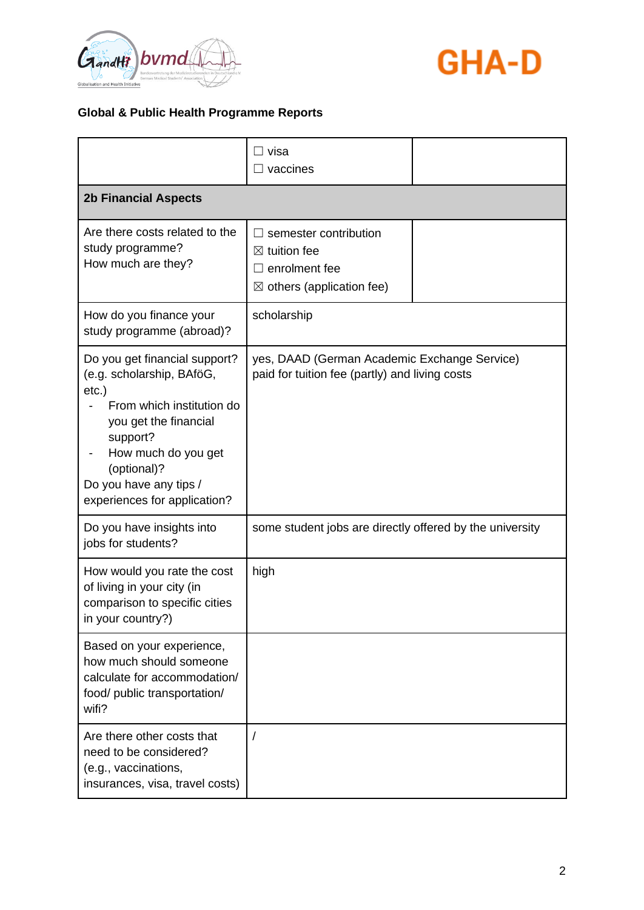



|                                                                                                                                                                                                                                          | ⊟ visa<br>$\Box$ vaccines                                                                                       |  |
|------------------------------------------------------------------------------------------------------------------------------------------------------------------------------------------------------------------------------------------|-----------------------------------------------------------------------------------------------------------------|--|
| <b>2b Financial Aspects</b>                                                                                                                                                                                                              |                                                                                                                 |  |
| Are there costs related to the<br>study programme?<br>How much are they?                                                                                                                                                                 | semester contribution<br>$\boxtimes$ tuition fee<br>enrolment fee<br>ΙI<br>$\boxtimes$ others (application fee) |  |
| How do you finance your<br>study programme (abroad)?                                                                                                                                                                                     | scholarship                                                                                                     |  |
| Do you get financial support?<br>(e.g. scholarship, BAföG,<br>$etc.$ )<br>From which institution do<br>you get the financial<br>support?<br>How much do you get<br>(optional)?<br>Do you have any tips /<br>experiences for application? | yes, DAAD (German Academic Exchange Service)<br>paid for tuition fee (partly) and living costs                  |  |
| Do you have insights into<br>jobs for students?                                                                                                                                                                                          | some student jobs are directly offered by the university                                                        |  |
| How would you rate the cost<br>of living in your city (in<br>comparison to specific cities<br>in your country?)                                                                                                                          | high                                                                                                            |  |
| Based on your experience,<br>how much should someone<br>calculate for accommodation/<br>food/ public transportation/<br>wifi?                                                                                                            |                                                                                                                 |  |
| Are there other costs that<br>need to be considered?<br>(e.g., vaccinations,<br>insurances, visa, travel costs)                                                                                                                          |                                                                                                                 |  |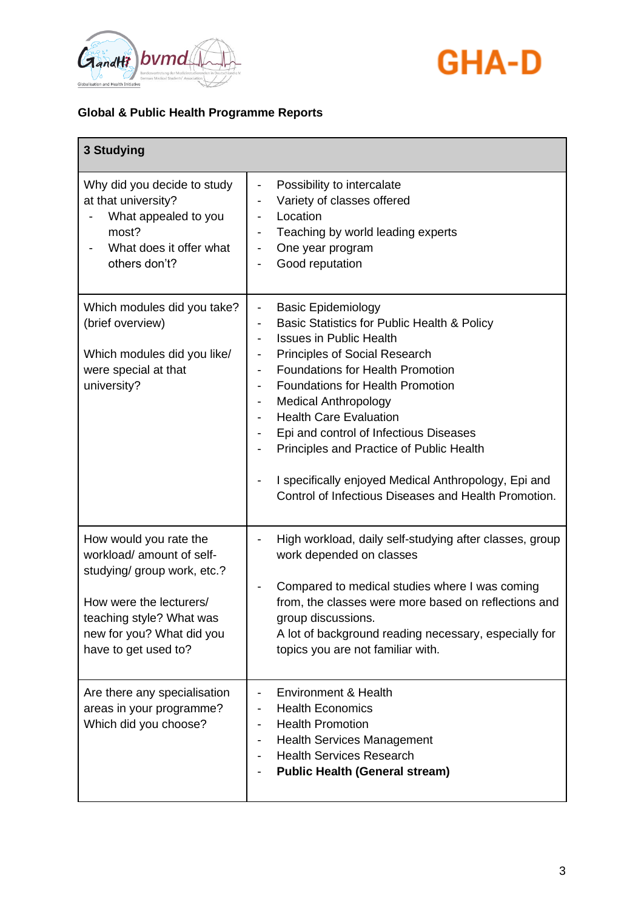



| 3 Studying                                                                                                                                                                                     |                                                                                                                                                                                                                                                                                                                                                                                                                                                                                                                                                                                             |
|------------------------------------------------------------------------------------------------------------------------------------------------------------------------------------------------|---------------------------------------------------------------------------------------------------------------------------------------------------------------------------------------------------------------------------------------------------------------------------------------------------------------------------------------------------------------------------------------------------------------------------------------------------------------------------------------------------------------------------------------------------------------------------------------------|
| Why did you decide to study<br>at that university?<br>What appealed to you<br>most?<br>What does it offer what<br>others don't?                                                                | Possibility to intercalate<br>$\qquad \qquad \blacksquare$<br>Variety of classes offered<br>Location<br>$\qquad \qquad \blacksquare$<br>Teaching by world leading experts<br>One year program<br>Good reputation                                                                                                                                                                                                                                                                                                                                                                            |
| Which modules did you take?<br>(brief overview)<br>Which modules did you like/<br>were special at that<br>university?                                                                          | <b>Basic Epidemiology</b><br>$\overline{\phantom{a}}$<br>Basic Statistics for Public Health & Policy<br><b>Issues in Public Health</b><br><b>Principles of Social Research</b><br><b>Foundations for Health Promotion</b><br>$\overline{\phantom{a}}$<br>Foundations for Health Promotion<br>$\overline{\phantom{a}}$<br><b>Medical Anthropology</b><br><b>Health Care Evaluation</b><br>Epi and control of Infectious Diseases<br>Principles and Practice of Public Health<br>I specifically enjoyed Medical Anthropology, Epi and<br>Control of Infectious Diseases and Health Promotion. |
| How would you rate the<br>workload/ amount of self-<br>studying/ group work, etc.?<br>How were the lecturers/<br>teaching style? What was<br>new for you? What did you<br>have to get used to? | High workload, daily self-studying after classes, group<br>work depended on classes<br>Compared to medical studies where I was coming<br>from, the classes were more based on reflections and<br>group discussions.<br>A lot of background reading necessary, especially for<br>topics you are not familiar with.                                                                                                                                                                                                                                                                           |
| Are there any specialisation<br>areas in your programme?<br>Which did you choose?                                                                                                              | Environment & Health<br><b>Health Economics</b><br><b>Health Promotion</b><br><b>Health Services Management</b><br><b>Health Services Research</b><br><b>Public Health (General stream)</b>                                                                                                                                                                                                                                                                                                                                                                                                 |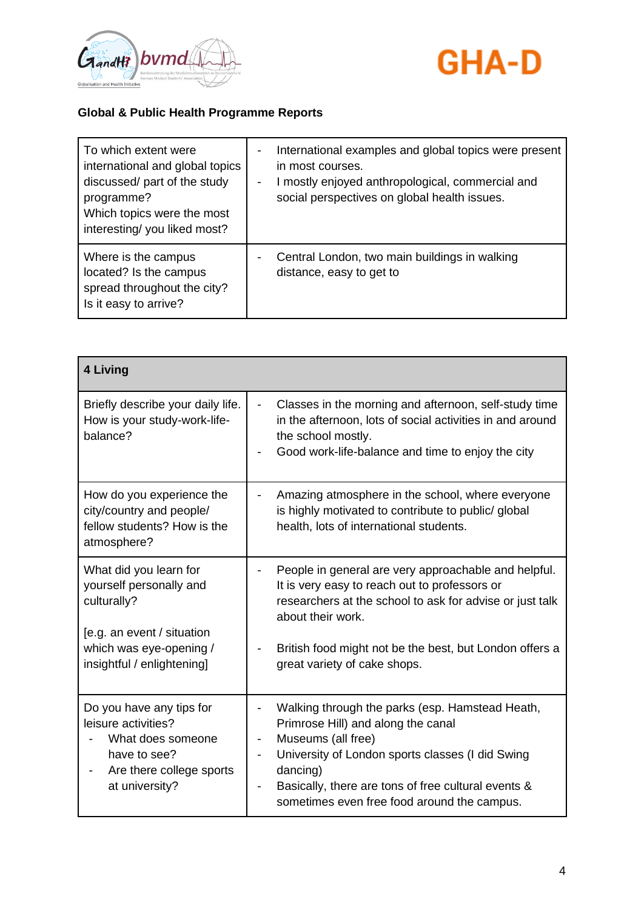



| To which extent were<br>international and global topics<br>discussed/ part of the study<br>programme?<br>Which topics were the most<br>interesting/you liked most? | - | International examples and global topics were present<br>in most courses.<br>I mostly enjoyed anthropological, commercial and<br>social perspectives on global health issues. |
|--------------------------------------------------------------------------------------------------------------------------------------------------------------------|---|-------------------------------------------------------------------------------------------------------------------------------------------------------------------------------|
| Where is the campus<br>located? Is the campus<br>spread throughout the city?<br>Is it easy to arrive?                                                              |   | Central London, two main buildings in walking<br>distance, easy to get to                                                                                                     |

| <b>4 Living</b>                                                                                                                    |                                                                                                                                                                                                                                                                                                               |
|------------------------------------------------------------------------------------------------------------------------------------|---------------------------------------------------------------------------------------------------------------------------------------------------------------------------------------------------------------------------------------------------------------------------------------------------------------|
| Briefly describe your daily life.<br>How is your study-work-life-<br>balance?                                                      | Classes in the morning and afternoon, self-study time<br>in the afternoon, lots of social activities in and around<br>the school mostly.<br>Good work-life-balance and time to enjoy the city                                                                                                                 |
| How do you experience the<br>city/country and people/<br>fellow students? How is the<br>atmosphere?                                | Amazing atmosphere in the school, where everyone<br>is highly motivated to contribute to public/ global<br>health, lots of international students.                                                                                                                                                            |
| What did you learn for<br>yourself personally and<br>culturally?<br>[e.g. an event / situation                                     | People in general are very approachable and helpful.<br>It is very easy to reach out to professors or<br>researchers at the school to ask for advise or just talk<br>about their work.                                                                                                                        |
| which was eye-opening /<br>insightful / enlightening]                                                                              | British food might not be the best, but London offers a<br>great variety of cake shops.                                                                                                                                                                                                                       |
| Do you have any tips for<br>leisure activities?<br>What does someone<br>have to see?<br>Are there college sports<br>at university? | Walking through the parks (esp. Hamstead Heath,<br>Primrose Hill) and along the canal<br>Museums (all free)<br>$\overline{\phantom{a}}$<br>University of London sports classes (I did Swing<br>dancing)<br>Basically, there are tons of free cultural events &<br>sometimes even free food around the campus. |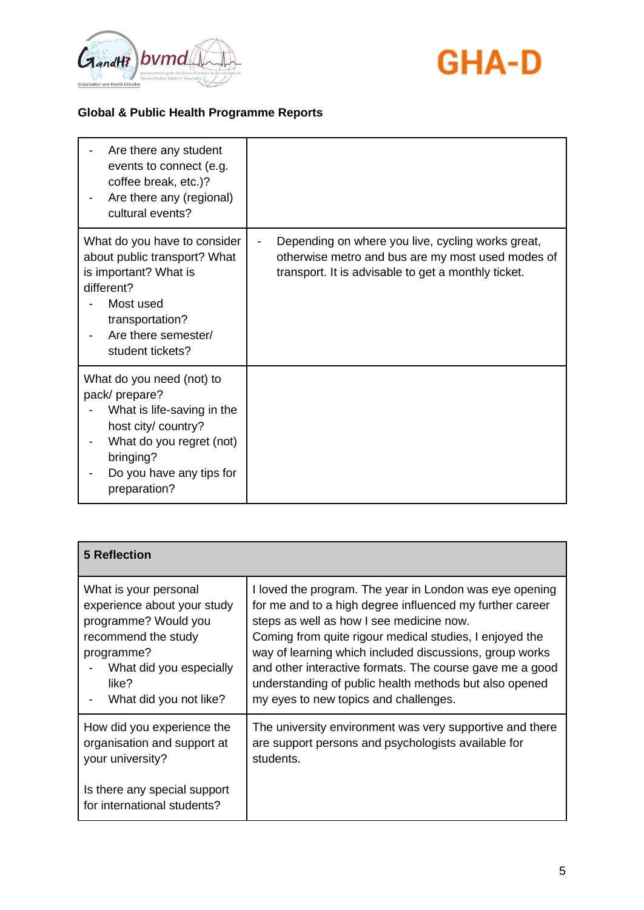



| Are there any student<br>events to connect (e.g.<br>coffee break, etc.)?<br>Are there any (regional)<br>cultural events?                                                             |                                                                                                                                                               |
|--------------------------------------------------------------------------------------------------------------------------------------------------------------------------------------|---------------------------------------------------------------------------------------------------------------------------------------------------------------|
| What do you have to consider<br>about public transport? What<br>is important? What is<br>different?<br>Most used<br>transportation?<br>Are there semester/<br>student tickets?       | Depending on where you live, cycling works great,<br>otherwise metro and bus are my most used modes of<br>transport. It is advisable to get a monthly ticket. |
| What do you need (not) to<br>pack/prepare?<br>What is life-saving in the<br>host city/ country?<br>What do you regret (not)<br>bringing?<br>Do you have any tips for<br>preparation? |                                                                                                                                                               |

| <b>5 Reflection</b>                                         |                                                          |
|-------------------------------------------------------------|----------------------------------------------------------|
| What is your personal                                       | I loved the program. The year in London was eye opening  |
| experience about your study                                 | for me and to a high degree influenced my further career |
| programme? Would you                                        | steps as well as how I see medicine now.                 |
| recommend the study                                         | Coming from quite rigour medical studies, I enjoyed the  |
| programme?                                                  | way of learning which included discussions, group works  |
| What did you especially                                     | and other interactive formats. The course gave me a good |
| like?                                                       | understanding of public health methods but also opened   |
| What did you not like?                                      | my eyes to new topics and challenges.                    |
| How did you experience the                                  | The university environment was very supportive and there |
| organisation and support at                                 | are support persons and psychologists available for      |
| your university?                                            | students.                                                |
| Is there any special support<br>for international students? |                                                          |